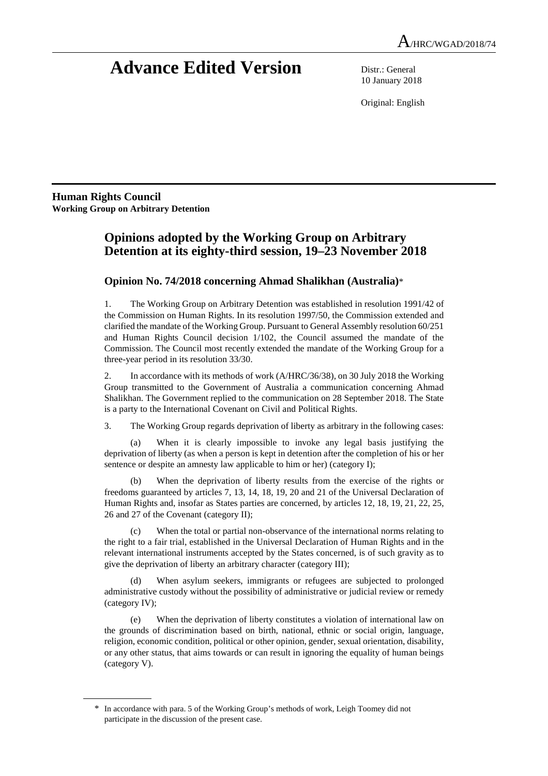# **Advance Edited Version** Distr.: General

10 January 2018

Original: English

**Human Rights Council Working Group on Arbitrary Detention** 

 $\overline{a}$ 

# **Opinions adopted by the Working Group on Arbitrary Detention at its eighty-third session, 19–23 November 2018**

# **Opinion No. 74/2018 concerning Ahmad Shalikhan (Australia)**\*

1. The Working Group on Arbitrary Detention was established in resolution 1991/42 of the Commission on Human Rights. In its resolution 1997/50, the Commission extended and clarified the mandate of the Working Group. Pursuant to General Assembly resolution 60/251 and Human Rights Council decision 1/102, the Council assumed the mandate of the Commission. The Council most recently extended the mandate of the Working Group for a three-year period in its resolution 33/30.

2. In accordance with its methods of work (A/HRC/36/38), on 30 July 2018 the Working Group transmitted to the Government of Australia a communication concerning Ahmad Shalikhan. The Government replied to the communication on 28 September 2018. The State is a party to the International Covenant on Civil and Political Rights.

3. The Working Group regards deprivation of liberty as arbitrary in the following cases:

(a) When it is clearly impossible to invoke any legal basis justifying the deprivation of liberty (as when a person is kept in detention after the completion of his or her sentence or despite an amnesty law applicable to him or her) (category I);

(b) When the deprivation of liberty results from the exercise of the rights or freedoms guaranteed by articles 7, 13, 14, 18, 19, 20 and 21 of the Universal Declaration of Human Rights and, insofar as States parties are concerned, by articles 12, 18, 19, 21, 22, 25, 26 and 27 of the Covenant (category II);

(c) When the total or partial non-observance of the international norms relating to the right to a fair trial, established in the Universal Declaration of Human Rights and in the relevant international instruments accepted by the States concerned, is of such gravity as to give the deprivation of liberty an arbitrary character (category III);

(d) When asylum seekers, immigrants or refugees are subjected to prolonged administrative custody without the possibility of administrative or judicial review or remedy (category IV);

(e) When the deprivation of liberty constitutes a violation of international law on the grounds of discrimination based on birth, national, ethnic or social origin, language, religion, economic condition, political or other opinion, gender, sexual orientation, disability, or any other status, that aims towards or can result in ignoring the equality of human beings (category V).

<sup>\*</sup> In accordance with para. 5 of the Working Group's methods of work, Leigh Toomey did not participate in the discussion of the present case.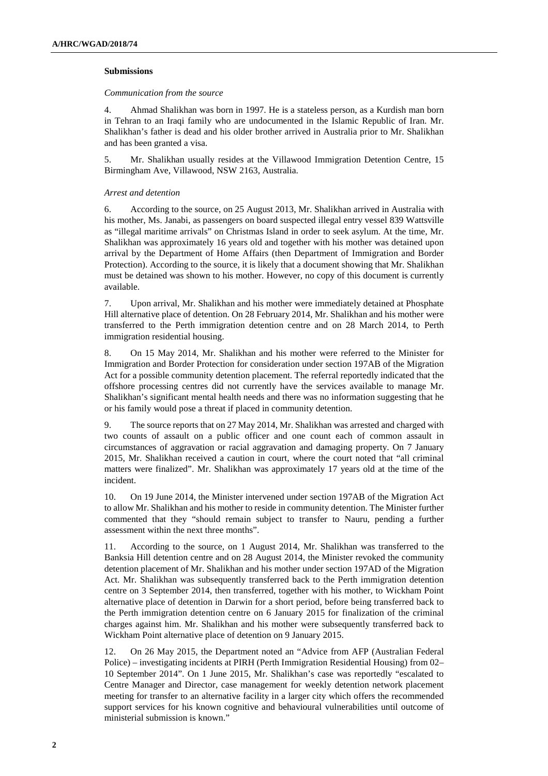# **Submissions**

# *Communication from the source*

4. Ahmad Shalikhan was born in 1997. He is a stateless person, as a Kurdish man born in Tehran to an Iraqi family who are undocumented in the Islamic Republic of Iran. Mr. Shalikhan's father is dead and his older brother arrived in Australia prior to Mr. Shalikhan and has been granted a visa.

5. Mr. Shalikhan usually resides at the Villawood Immigration Detention Centre, 15 Birmingham Ave, Villawood, NSW 2163, Australia.

# *Arrest and detention*

6. According to the source, on 25 August 2013, Mr. Shalikhan arrived in Australia with his mother, Ms. Janabi, as passengers on board suspected illegal entry vessel 839 Wattsville as "illegal maritime arrivals" on Christmas Island in order to seek asylum. At the time, Mr. Shalikhan was approximately 16 years old and together with his mother was detained upon arrival by the Department of Home Affairs (then Department of Immigration and Border Protection). According to the source, it is likely that a document showing that Mr. Shalikhan must be detained was shown to his mother. However, no copy of this document is currently available.

7. Upon arrival, Mr. Shalikhan and his mother were immediately detained at Phosphate Hill alternative place of detention. On 28 February 2014, Mr. Shalikhan and his mother were transferred to the Perth immigration detention centre and on 28 March 2014, to Perth immigration residential housing.

8. On 15 May 2014, Mr. Shalikhan and his mother were referred to the Minister for Immigration and Border Protection for consideration under section 197AB of the Migration Act for a possible community detention placement. The referral reportedly indicated that the offshore processing centres did not currently have the services available to manage Mr. Shalikhan's significant mental health needs and there was no information suggesting that he or his family would pose a threat if placed in community detention.

9. The source reports that on 27 May 2014, Mr. Shalikhan was arrested and charged with two counts of assault on a public officer and one count each of common assault in circumstances of aggravation or racial aggravation and damaging property. On 7 January 2015, Mr. Shalikhan received a caution in court, where the court noted that "all criminal matters were finalized". Mr. Shalikhan was approximately 17 years old at the time of the incident.

10. On 19 June 2014, the Minister intervened under section 197AB of the Migration Act to allow Mr. Shalikhan and his mother to reside in community detention. The Minister further commented that they "should remain subject to transfer to Nauru, pending a further assessment within the next three months".

11. According to the source, on 1 August 2014, Mr. Shalikhan was transferred to the Banksia Hill detention centre and on 28 August 2014, the Minister revoked the community detention placement of Mr. Shalikhan and his mother under section 197AD of the Migration Act. Mr. Shalikhan was subsequently transferred back to the Perth immigration detention centre on 3 September 2014, then transferred, together with his mother, to Wickham Point alternative place of detention in Darwin for a short period, before being transferred back to the Perth immigration detention centre on 6 January 2015 for finalization of the criminal charges against him. Mr. Shalikhan and his mother were subsequently transferred back to Wickham Point alternative place of detention on 9 January 2015.

12. On 26 May 2015, the Department noted an "Advice from AFP (Australian Federal Police) – investigating incidents at PIRH (Perth Immigration Residential Housing) from 02– 10 September 2014". On 1 June 2015, Mr. Shalikhan's case was reportedly "escalated to Centre Manager and Director, case management for weekly detention network placement meeting for transfer to an alternative facility in a larger city which offers the recommended support services for his known cognitive and behavioural vulnerabilities until outcome of ministerial submission is known."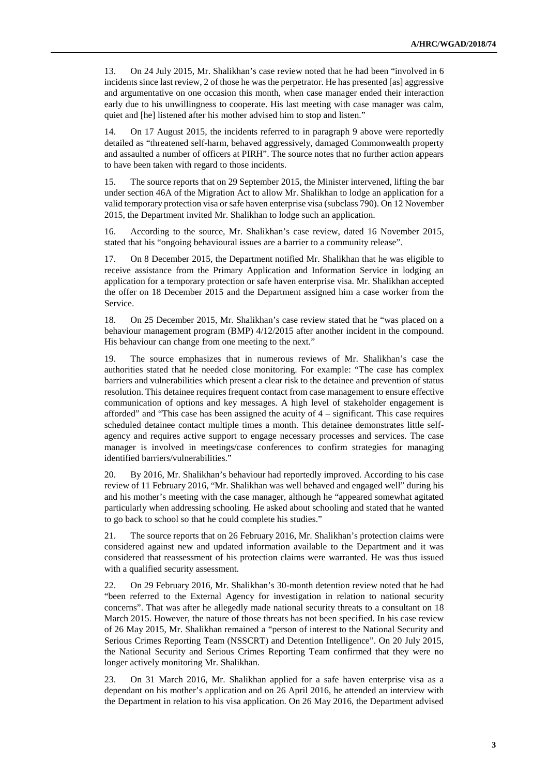13. On 24 July 2015, Mr. Shalikhan's case review noted that he had been "involved in 6 incidents since last review, 2 of those he was the perpetrator. He has presented [as] aggressive and argumentative on one occasion this month, when case manager ended their interaction early due to his unwillingness to cooperate. His last meeting with case manager was calm, quiet and [he] listened after his mother advised him to stop and listen."

14. On 17 August 2015, the incidents referred to in paragraph 9 above were reportedly detailed as "threatened self-harm, behaved aggressively, damaged Commonwealth property and assaulted a number of officers at PIRH". The source notes that no further action appears to have been taken with regard to those incidents.

15. The source reports that on 29 September 2015, the Minister intervened, lifting the bar under section 46A of the Migration Act to allow Mr. Shalikhan to lodge an application for a valid temporary protection visa or safe haven enterprise visa (subclass 790). On 12 November 2015, the Department invited Mr. Shalikhan to lodge such an application.

16. According to the source, Mr. Shalikhan's case review, dated 16 November 2015, stated that his "ongoing behavioural issues are a barrier to a community release".

17. On 8 December 2015, the Department notified Mr. Shalikhan that he was eligible to receive assistance from the Primary Application and Information Service in lodging an application for a temporary protection or safe haven enterprise visa. Mr. Shalikhan accepted the offer on 18 December 2015 and the Department assigned him a case worker from the Service.

18. On 25 December 2015, Mr. Shalikhan's case review stated that he "was placed on a behaviour management program (BMP) 4/12/2015 after another incident in the compound. His behaviour can change from one meeting to the next."

19. The source emphasizes that in numerous reviews of Mr. Shalikhan's case the authorities stated that he needed close monitoring. For example: "The case has complex barriers and vulnerabilities which present a clear risk to the detainee and prevention of status resolution. This detainee requires frequent contact from case management to ensure effective communication of options and key messages. A high level of stakeholder engagement is afforded" and "This case has been assigned the acuity of 4 – significant. This case requires scheduled detainee contact multiple times a month. This detainee demonstrates little selfagency and requires active support to engage necessary processes and services. The case manager is involved in meetings/case conferences to confirm strategies for managing identified barriers/vulnerabilities."

20. By 2016, Mr. Shalikhan's behaviour had reportedly improved. According to his case review of 11 February 2016, "Mr. Shalikhan was well behaved and engaged well" during his and his mother's meeting with the case manager, although he "appeared somewhat agitated particularly when addressing schooling. He asked about schooling and stated that he wanted to go back to school so that he could complete his studies."

21. The source reports that on 26 February 2016, Mr. Shalikhan's protection claims were considered against new and updated information available to the Department and it was considered that reassessment of his protection claims were warranted. He was thus issued with a qualified security assessment.

22. On 29 February 2016, Mr. Shalikhan's 30-month detention review noted that he had "been referred to the External Agency for investigation in relation to national security concerns". That was after he allegedly made national security threats to a consultant on 18 March 2015. However, the nature of those threats has not been specified. In his case review of 26 May 2015, Mr. Shalikhan remained a "person of interest to the National Security and Serious Crimes Reporting Team (NSSCRT) and Detention Intelligence". On 20 July 2015, the National Security and Serious Crimes Reporting Team confirmed that they were no longer actively monitoring Mr. Shalikhan.

23. On 31 March 2016, Mr. Shalikhan applied for a safe haven enterprise visa as a dependant on his mother's application and on 26 April 2016, he attended an interview with the Department in relation to his visa application. On 26 May 2016, the Department advised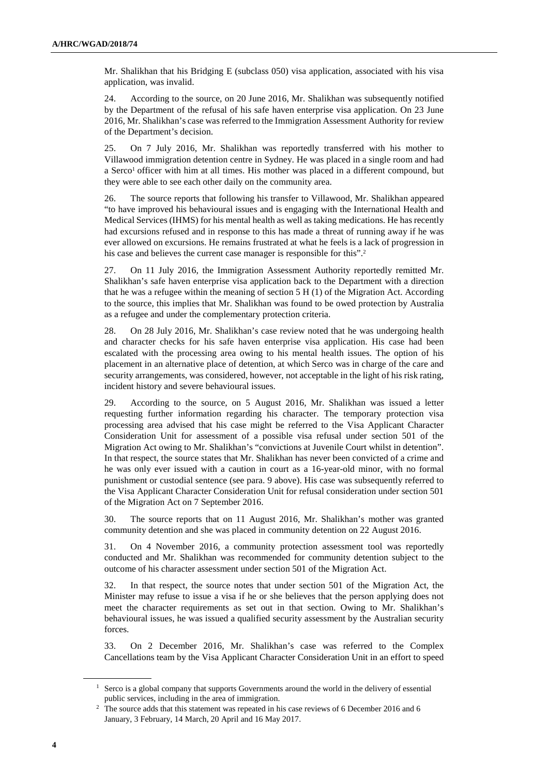Mr. Shalikhan that his Bridging E (subclass 050) visa application, associated with his visa application, was invalid.

24. According to the source, on 20 June 2016, Mr. Shalikhan was subsequently notified by the Department of the refusal of his safe haven enterprise visa application. On 23 June 2016, Mr. Shalikhan's case was referred to the Immigration Assessment Authority for review of the Department's decision.

25. On 7 July 2016, Mr. Shalikhan was reportedly transferred with his mother to Villawood immigration detention centre in Sydney. He was placed in a single room and had a Serco<sup>1</sup> officer with him at all times. His mother was placed in a different compound, but they were able to see each other daily on the community area.

26. The source reports that following his transfer to Villawood, Mr. Shalikhan appeared "to have improved his behavioural issues and is engaging with the International Health and Medical Services (IHMS) for his mental health as well as taking medications. He has recently had excursions refused and in response to this has made a threat of running away if he was ever allowed on excursions. He remains frustrated at what he feels is a lack of progression in his case and believes the current case manager is responsible for this".<sup>2</sup>

27. On 11 July 2016, the Immigration Assessment Authority reportedly remitted Mr. Shalikhan's safe haven enterprise visa application back to the Department with a direction that he was a refugee within the meaning of section  $5 H(1)$  of the Migration Act. According to the source, this implies that Mr. Shalikhan was found to be owed protection by Australia as a refugee and under the complementary protection criteria.

28. On 28 July 2016, Mr. Shalikhan's case review noted that he was undergoing health and character checks for his safe haven enterprise visa application. His case had been escalated with the processing area owing to his mental health issues. The option of his placement in an alternative place of detention, at which Serco was in charge of the care and security arrangements, was considered, however, not acceptable in the light of his risk rating, incident history and severe behavioural issues.

29. According to the source, on 5 August 2016, Mr. Shalikhan was issued a letter requesting further information regarding his character. The temporary protection visa processing area advised that his case might be referred to the Visa Applicant Character Consideration Unit for assessment of a possible visa refusal under section 501 of the Migration Act owing to Mr. Shalikhan's "convictions at Juvenile Court whilst in detention". In that respect, the source states that Mr. Shalikhan has never been convicted of a crime and he was only ever issued with a caution in court as a 16-year-old minor, with no formal punishment or custodial sentence (see para. 9 above). His case was subsequently referred to the Visa Applicant Character Consideration Unit for refusal consideration under section 501 of the Migration Act on 7 September 2016.

30. The source reports that on 11 August 2016, Mr. Shalikhan's mother was granted community detention and she was placed in community detention on 22 August 2016.

31. On 4 November 2016, a community protection assessment tool was reportedly conducted and Mr. Shalikhan was recommended for community detention subject to the outcome of his character assessment under section 501 of the Migration Act.

32. In that respect, the source notes that under section 501 of the Migration Act, the Minister may refuse to issue a visa if he or she believes that the person applying does not meet the character requirements as set out in that section. Owing to Mr. Shalikhan's behavioural issues, he was issued a qualified security assessment by the Australian security forces.

33. On 2 December 2016, Mr. Shalikhan's case was referred to the Complex Cancellations team by the Visa Applicant Character Consideration Unit in an effort to speed

<sup>&</sup>lt;sup>1</sup> Serco is a global company that supports Governments around the world in the delivery of essential public services, including in the area of immigration.

<sup>&</sup>lt;sup>2</sup> The source adds that this statement was repeated in his case reviews of 6 December 2016 and 6 January, 3 February, 14 March, 20 April and 16 May 2017.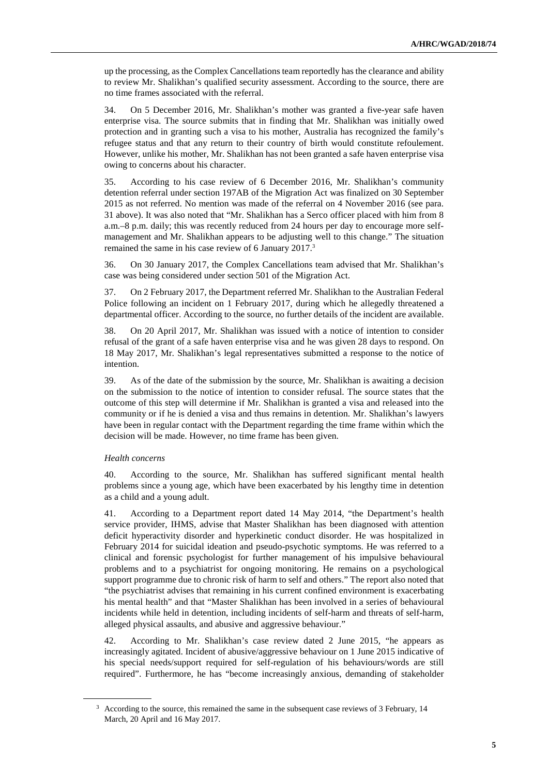up the processing, as the Complex Cancellations team reportedly has the clearance and ability to review Mr. Shalikhan's qualified security assessment. According to the source, there are no time frames associated with the referral.

34. On 5 December 2016, Mr. Shalikhan's mother was granted a five-year safe haven enterprise visa. The source submits that in finding that Mr. Shalikhan was initially owed protection and in granting such a visa to his mother, Australia has recognized the family's refugee status and that any return to their country of birth would constitute refoulement. However, unlike his mother, Mr. Shalikhan has not been granted a safe haven enterprise visa owing to concerns about his character.

35. According to his case review of 6 December 2016, Mr. Shalikhan's community detention referral under section 197AB of the Migration Act was finalized on 30 September 2015 as not referred. No mention was made of the referral on 4 November 2016 (see para. 31 above). It was also noted that "Mr. Shalikhan has a Serco officer placed with him from 8 a.m.–8 p.m. daily; this was recently reduced from 24 hours per day to encourage more selfmanagement and Mr. Shalikhan appears to be adjusting well to this change." The situation remained the same in his case review of 6 January 2017.<sup>3</sup>

36. On 30 January 2017, the Complex Cancellations team advised that Mr. Shalikhan's case was being considered under section 501 of the Migration Act.

37. On 2 February 2017, the Department referred Mr. Shalikhan to the Australian Federal Police following an incident on 1 February 2017, during which he allegedly threatened a departmental officer. According to the source, no further details of the incident are available.

38. On 20 April 2017, Mr. Shalikhan was issued with a notice of intention to consider refusal of the grant of a safe haven enterprise visa and he was given 28 days to respond. On 18 May 2017, Mr. Shalikhan's legal representatives submitted a response to the notice of intention.

39. As of the date of the submission by the source, Mr. Shalikhan is awaiting a decision on the submission to the notice of intention to consider refusal. The source states that the outcome of this step will determine if Mr. Shalikhan is granted a visa and released into the community or if he is denied a visa and thus remains in detention. Mr. Shalikhan's lawyers have been in regular contact with the Department regarding the time frame within which the decision will be made. However, no time frame has been given.

# *Health concerns*

 $\overline{a}$ 

40. According to the source, Mr. Shalikhan has suffered significant mental health problems since a young age, which have been exacerbated by his lengthy time in detention as a child and a young adult.

41. According to a Department report dated 14 May 2014, "the Department's health service provider, IHMS, advise that Master Shalikhan has been diagnosed with attention deficit hyperactivity disorder and hyperkinetic conduct disorder. He was hospitalized in February 2014 for suicidal ideation and pseudo-psychotic symptoms. He was referred to a clinical and forensic psychologist for further management of his impulsive behavioural problems and to a psychiatrist for ongoing monitoring. He remains on a psychological support programme due to chronic risk of harm to self and others." The report also noted that "the psychiatrist advises that remaining in his current confined environment is exacerbating his mental health" and that "Master Shalikhan has been involved in a series of behavioural incidents while held in detention, including incidents of self-harm and threats of self-harm, alleged physical assaults, and abusive and aggressive behaviour."

42. According to Mr. Shalikhan's case review dated 2 June 2015, "he appears as increasingly agitated. Incident of abusive/aggressive behaviour on 1 June 2015 indicative of his special needs/support required for self-regulation of his behaviours/words are still required". Furthermore, he has "become increasingly anxious, demanding of stakeholder

<sup>&</sup>lt;sup>3</sup> According to the source, this remained the same in the subsequent case reviews of 3 February, 14 March, 20 April and 16 May 2017.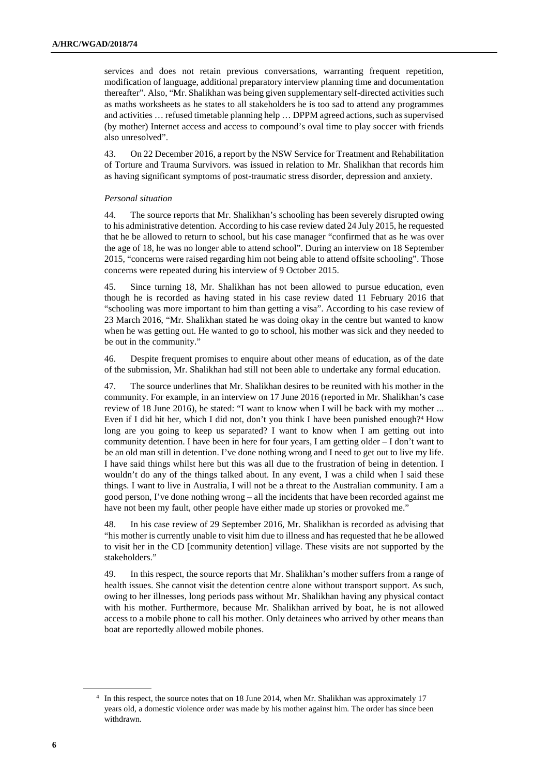services and does not retain previous conversations, warranting frequent repetition, modification of language, additional preparatory interview planning time and documentation thereafter". Also, "Mr. Shalikhan was being given supplementary self-directed activities such as maths worksheets as he states to all stakeholders he is too sad to attend any programmes and activities … refused timetable planning help … DPPM agreed actions, such as supervised (by mother) Internet access and access to compound's oval time to play soccer with friends also unresolved".

43. On 22 December 2016, a report by the NSW Service for Treatment and Rehabilitation of Torture and Trauma Survivors. was issued in relation to Mr. Shalikhan that records him as having significant symptoms of post-traumatic stress disorder, depression and anxiety.

# *Personal situation*

44. The source reports that Mr. Shalikhan's schooling has been severely disrupted owing to his administrative detention. According to his case review dated 24 July 2015, he requested that he be allowed to return to school, but his case manager "confirmed that as he was over the age of 18, he was no longer able to attend school". During an interview on 18 September 2015, "concerns were raised regarding him not being able to attend offsite schooling". Those concerns were repeated during his interview of 9 October 2015.

45. Since turning 18, Mr. Shalikhan has not been allowed to pursue education, even though he is recorded as having stated in his case review dated 11 February 2016 that "schooling was more important to him than getting a visa". According to his case review of 23 March 2016, "Mr. Shalikhan stated he was doing okay in the centre but wanted to know when he was getting out. He wanted to go to school, his mother was sick and they needed to be out in the community."

46. Despite frequent promises to enquire about other means of education, as of the date of the submission, Mr. Shalikhan had still not been able to undertake any formal education.

47. The source underlines that Mr. Shalikhan desires to be reunited with his mother in the community. For example, in an interview on 17 June 2016 (reported in Mr. Shalikhan's case review of 18 June 2016), he stated: "I want to know when I will be back with my mother ... Even if I did hit her, which I did not, don't you think I have been punished enough?<sup>4</sup> How long are you going to keep us separated? I want to know when I am getting out into community detention. I have been in here for four years, I am getting older – I don't want to be an old man still in detention. I've done nothing wrong and I need to get out to live my life. I have said things whilst here but this was all due to the frustration of being in detention. I wouldn't do any of the things talked about. In any event, I was a child when I said these things. I want to live in Australia, I will not be a threat to the Australian community. I am a good person, I've done nothing wrong – all the incidents that have been recorded against me have not been my fault, other people have either made up stories or provoked me."

48. In his case review of 29 September 2016, Mr. Shalikhan is recorded as advising that "his mother is currently unable to visit him due to illness and has requested that he be allowed to visit her in the CD [community detention] village. These visits are not supported by the stakeholders."

49. In this respect, the source reports that Mr. Shalikhan's mother suffers from a range of health issues. She cannot visit the detention centre alone without transport support. As such, owing to her illnesses, long periods pass without Mr. Shalikhan having any physical contact with his mother. Furthermore, because Mr. Shalikhan arrived by boat, he is not allowed access to a mobile phone to call his mother. Only detainees who arrived by other means than boat are reportedly allowed mobile phones.

<sup>4</sup> In this respect, the source notes that on 18 June 2014, when Mr. Shalikhan was approximately 17 years old, a domestic violence order was made by his mother against him. The order has since been withdrawn.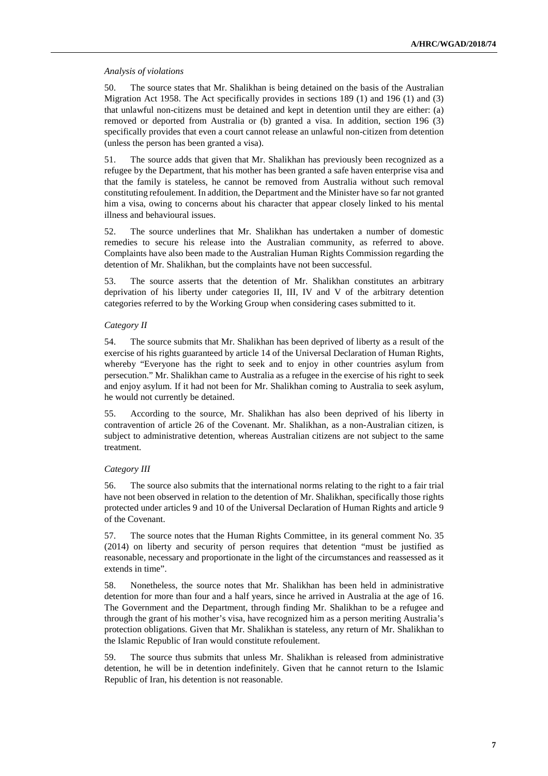#### *Analysis of violations*

50. The source states that Mr. Shalikhan is being detained on the basis of the Australian Migration Act 1958. The Act specifically provides in sections 189 (1) and 196 (1) and (3) that unlawful non-citizens must be detained and kept in detention until they are either: (a) removed or deported from Australia or (b) granted a visa. In addition, section 196 (3) specifically provides that even a court cannot release an unlawful non-citizen from detention (unless the person has been granted a visa).

51. The source adds that given that Mr. Shalikhan has previously been recognized as a refugee by the Department, that his mother has been granted a safe haven enterprise visa and that the family is stateless, he cannot be removed from Australia without such removal constituting refoulement. In addition, the Department and the Minister have so far not granted him a visa, owing to concerns about his character that appear closely linked to his mental illness and behavioural issues.

52. The source underlines that Mr. Shalikhan has undertaken a number of domestic remedies to secure his release into the Australian community, as referred to above. Complaints have also been made to the Australian Human Rights Commission regarding the detention of Mr. Shalikhan, but the complaints have not been successful.

53. The source asserts that the detention of Mr. Shalikhan constitutes an arbitrary deprivation of his liberty under categories II, III, IV and V of the arbitrary detention categories referred to by the Working Group when considering cases submitted to it.

#### *Category II*

54. The source submits that Mr. Shalikhan has been deprived of liberty as a result of the exercise of his rights guaranteed by article 14 of the Universal Declaration of Human Rights, whereby "Everyone has the right to seek and to enjoy in other countries asylum from persecution." Mr. Shalikhan came to Australia as a refugee in the exercise of his right to seek and enjoy asylum. If it had not been for Mr. Shalikhan coming to Australia to seek asylum, he would not currently be detained.

55. According to the source, Mr. Shalikhan has also been deprived of his liberty in contravention of article 26 of the Covenant. Mr. Shalikhan, as a non-Australian citizen, is subject to administrative detention, whereas Australian citizens are not subject to the same treatment.

# *Category III*

56. The source also submits that the international norms relating to the right to a fair trial have not been observed in relation to the detention of Mr. Shalikhan, specifically those rights protected under articles 9 and 10 of the Universal Declaration of Human Rights and article 9 of the Covenant.

57. The source notes that the Human Rights Committee, in its general comment No. 35 (2014) on liberty and security of person requires that detention "must be justified as reasonable, necessary and proportionate in the light of the circumstances and reassessed as it extends in time".

58. Nonetheless, the source notes that Mr. Shalikhan has been held in administrative detention for more than four and a half years, since he arrived in Australia at the age of 16. The Government and the Department, through finding Mr. Shalikhan to be a refugee and through the grant of his mother's visa, have recognized him as a person meriting Australia's protection obligations. Given that Mr. Shalikhan is stateless, any return of Mr. Shalikhan to the Islamic Republic of Iran would constitute refoulement.

59. The source thus submits that unless Mr. Shalikhan is released from administrative detention, he will be in detention indefinitely. Given that he cannot return to the Islamic Republic of Iran, his detention is not reasonable.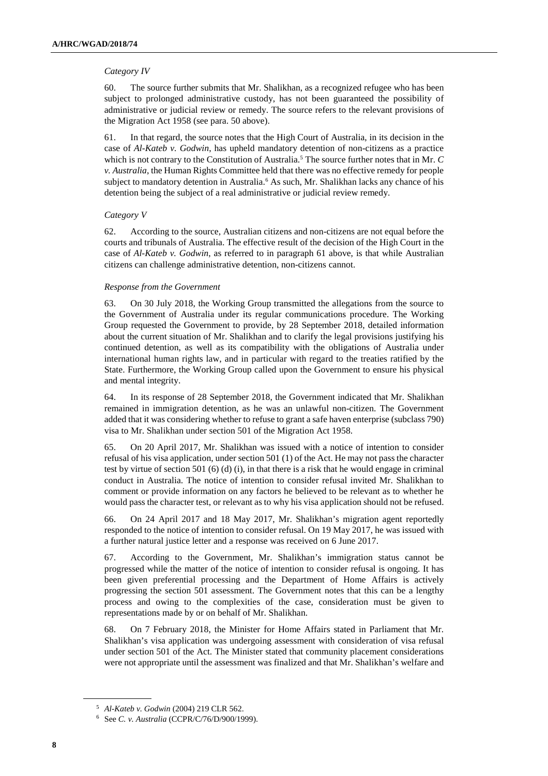# *Category IV*

60. The source further submits that Mr. Shalikhan, as a recognized refugee who has been subject to prolonged administrative custody, has not been guaranteed the possibility of administrative or judicial review or remedy. The source refers to the relevant provisions of the Migration Act 1958 (see para. 50 above).

61. In that regard, the source notes that the High Court of Australia, in its decision in the case of *Al-Kateb v. Godwin*, has upheld mandatory detention of non-citizens as a practice which is not contrary to the Constitution of Australia.<sup>5</sup> The source further notes that in Mr.  $C$ *v. Australia*, the Human Rights Committee held that there was no effective remedy for people subject to mandatory detention in Australia.<sup>6</sup> As such, Mr. Shalikhan lacks any chance of his detention being the subject of a real administrative or judicial review remedy.

# *Category V*

62. According to the source, Australian citizens and non-citizens are not equal before the courts and tribunals of Australia. The effective result of the decision of the High Court in the case of *Al-Kateb v. Godwin*, as referred to in paragraph 61 above, is that while Australian citizens can challenge administrative detention, non-citizens cannot.

# *Response from the Government*

63. On 30 July 2018, the Working Group transmitted the allegations from the source to the Government of Australia under its regular communications procedure. The Working Group requested the Government to provide, by 28 September 2018, detailed information about the current situation of Mr. Shalikhan and to clarify the legal provisions justifying his continued detention, as well as its compatibility with the obligations of Australia under international human rights law, and in particular with regard to the treaties ratified by the State. Furthermore, the Working Group called upon the Government to ensure his physical and mental integrity.

64. In its response of 28 September 2018, the Government indicated that Mr. Shalikhan remained in immigration detention, as he was an unlawful non-citizen. The Government added that it was considering whether to refuse to grant a safe haven enterprise (subclass 790) visa to Mr. Shalikhan under section 501 of the Migration Act 1958.

65. On 20 April 2017, Mr. Shalikhan was issued with a notice of intention to consider refusal of his visa application, under section 501 (1) of the Act. He may not pass the character test by virtue of section 501 (6) (d) (i), in that there is a risk that he would engage in criminal conduct in Australia. The notice of intention to consider refusal invited Mr. Shalikhan to comment or provide information on any factors he believed to be relevant as to whether he would pass the character test, or relevant as to why his visa application should not be refused.

66. On 24 April 2017 and 18 May 2017, Mr. Shalikhan's migration agent reportedly responded to the notice of intention to consider refusal. On 19 May 2017, he was issued with a further natural justice letter and a response was received on 6 June 2017.

67. According to the Government, Mr. Shalikhan's immigration status cannot be progressed while the matter of the notice of intention to consider refusal is ongoing. It has been given preferential processing and the Department of Home Affairs is actively progressing the section 501 assessment. The Government notes that this can be a lengthy process and owing to the complexities of the case, consideration must be given to representations made by or on behalf of Mr. Shalikhan.

68. On 7 February 2018, the Minister for Home Affairs stated in Parliament that Mr. Shalikhan's visa application was undergoing assessment with consideration of visa refusal under section 501 of the Act. The Minister stated that community placement considerations were not appropriate until the assessment was finalized and that Mr. Shalikhan's welfare and

<sup>5</sup> *Al-Kateb v. Godwin* (2004) 219 CLR 562.

<sup>6</sup> See *C. v. Australia* (CCPR/C/76/D/900/1999).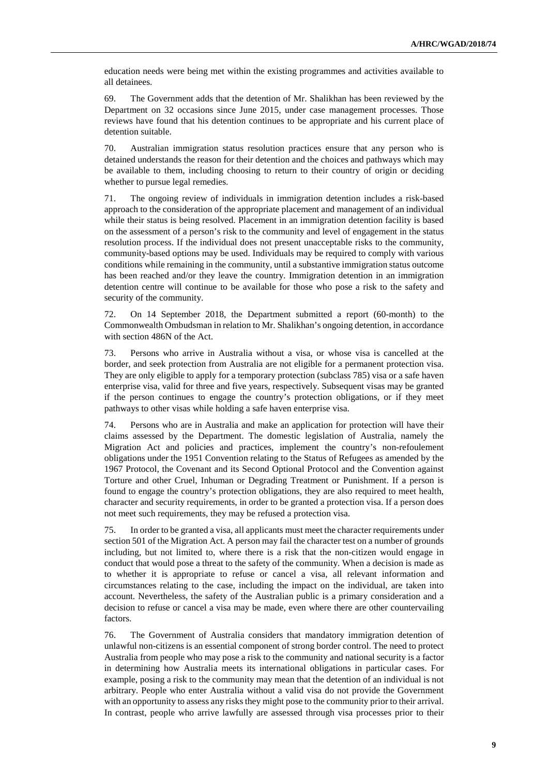education needs were being met within the existing programmes and activities available to all detainees.

69. The Government adds that the detention of Mr. Shalikhan has been reviewed by the Department on 32 occasions since June 2015, under case management processes. Those reviews have found that his detention continues to be appropriate and his current place of detention suitable.

70. Australian immigration status resolution practices ensure that any person who is detained understands the reason for their detention and the choices and pathways which may be available to them, including choosing to return to their country of origin or deciding whether to pursue legal remedies.

71. The ongoing review of individuals in immigration detention includes a risk-based approach to the consideration of the appropriate placement and management of an individual while their status is being resolved. Placement in an immigration detention facility is based on the assessment of a person's risk to the community and level of engagement in the status resolution process. If the individual does not present unacceptable risks to the community, community-based options may be used. Individuals may be required to comply with various conditions while remaining in the community, until a substantive immigration status outcome has been reached and/or they leave the country. Immigration detention in an immigration detention centre will continue to be available for those who pose a risk to the safety and security of the community.

72. On 14 September 2018, the Department submitted a report (60-month) to the Commonwealth Ombudsman in relation to Mr. Shalikhan's ongoing detention, in accordance with section 486N of the Act.

73. Persons who arrive in Australia without a visa, or whose visa is cancelled at the border, and seek protection from Australia are not eligible for a permanent protection visa. They are only eligible to apply for a temporary protection (subclass 785) visa or a safe haven enterprise visa, valid for three and five years, respectively. Subsequent visas may be granted if the person continues to engage the country's protection obligations, or if they meet pathways to other visas while holding a safe haven enterprise visa.

74. Persons who are in Australia and make an application for protection will have their claims assessed by the Department. The domestic legislation of Australia, namely the Migration Act and policies and practices, implement the country's non-refoulement obligations under the 1951 Convention relating to the Status of Refugees as amended by the 1967 Protocol, the Covenant and its Second Optional Protocol and the Convention against Torture and other Cruel, Inhuman or Degrading Treatment or Punishment. If a person is found to engage the country's protection obligations, they are also required to meet health, character and security requirements, in order to be granted a protection visa. If a person does not meet such requirements, they may be refused a protection visa.

75. In order to be granted a visa, all applicants must meet the character requirements under section 501 of the Migration Act. A person may fail the character test on a number of grounds including, but not limited to, where there is a risk that the non-citizen would engage in conduct that would pose a threat to the safety of the community. When a decision is made as to whether it is appropriate to refuse or cancel a visa, all relevant information and circumstances relating to the case, including the impact on the individual, are taken into account. Nevertheless, the safety of the Australian public is a primary consideration and a decision to refuse or cancel a visa may be made, even where there are other countervailing factors.

76. The Government of Australia considers that mandatory immigration detention of unlawful non-citizens is an essential component of strong border control. The need to protect Australia from people who may pose a risk to the community and national security is a factor in determining how Australia meets its international obligations in particular cases. For example, posing a risk to the community may mean that the detention of an individual is not arbitrary. People who enter Australia without a valid visa do not provide the Government with an opportunity to assess any risks they might pose to the community prior to their arrival. In contrast, people who arrive lawfully are assessed through visa processes prior to their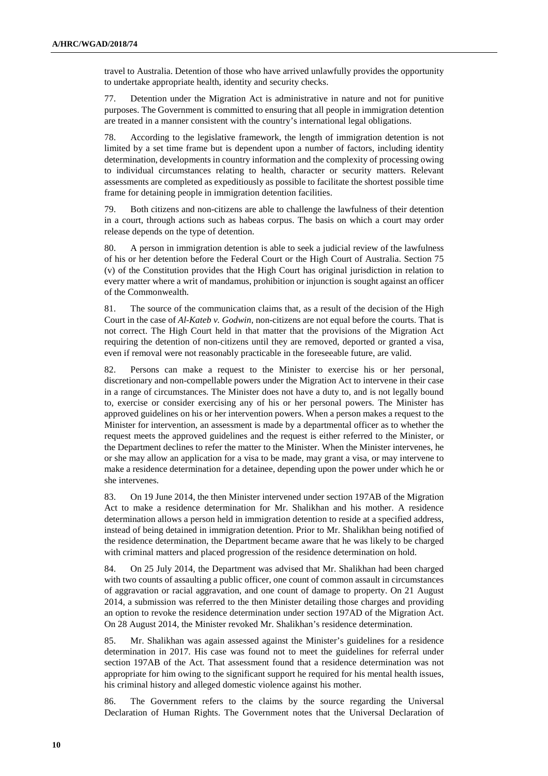travel to Australia. Detention of those who have arrived unlawfully provides the opportunity to undertake appropriate health, identity and security checks.

77. Detention under the Migration Act is administrative in nature and not for punitive purposes. The Government is committed to ensuring that all people in immigration detention are treated in a manner consistent with the country's international legal obligations.

78. According to the legislative framework, the length of immigration detention is not limited by a set time frame but is dependent upon a number of factors, including identity determination, developments in country information and the complexity of processing owing to individual circumstances relating to health, character or security matters. Relevant assessments are completed as expeditiously as possible to facilitate the shortest possible time frame for detaining people in immigration detention facilities.

79. Both citizens and non-citizens are able to challenge the lawfulness of their detention in a court, through actions such as habeas corpus. The basis on which a court may order release depends on the type of detention.

80. A person in immigration detention is able to seek a judicial review of the lawfulness of his or her detention before the Federal Court or the High Court of Australia. Section 75 (v) of the Constitution provides that the High Court has original jurisdiction in relation to every matter where a writ of mandamus, prohibition or injunction is sought against an officer of the Commonwealth.

81. The source of the communication claims that, as a result of the decision of the High Court in the case of *Al-Kateb v. Godwin*, non-citizens are not equal before the courts. That is not correct. The High Court held in that matter that the provisions of the Migration Act requiring the detention of non-citizens until they are removed, deported or granted a visa, even if removal were not reasonably practicable in the foreseeable future, are valid.

82. Persons can make a request to the Minister to exercise his or her personal, discretionary and non-compellable powers under the Migration Act to intervene in their case in a range of circumstances. The Minister does not have a duty to, and is not legally bound to, exercise or consider exercising any of his or her personal powers. The Minister has approved guidelines on his or her intervention powers. When a person makes a request to the Minister for intervention, an assessment is made by a departmental officer as to whether the request meets the approved guidelines and the request is either referred to the Minister, or the Department declines to refer the matter to the Minister. When the Minister intervenes, he or she may allow an application for a visa to be made, may grant a visa, or may intervene to make a residence determination for a detainee, depending upon the power under which he or she intervenes.

83. On 19 June 2014, the then Minister intervened under section 197AB of the Migration Act to make a residence determination for Mr. Shalikhan and his mother. A residence determination allows a person held in immigration detention to reside at a specified address, instead of being detained in immigration detention. Prior to Mr. Shalikhan being notified of the residence determination, the Department became aware that he was likely to be charged with criminal matters and placed progression of the residence determination on hold.

84. On 25 July 2014, the Department was advised that Mr. Shalikhan had been charged with two counts of assaulting a public officer, one count of common assault in circumstances of aggravation or racial aggravation, and one count of damage to property. On 21 August 2014, a submission was referred to the then Minister detailing those charges and providing an option to revoke the residence determination under section 197AD of the Migration Act. On 28 August 2014, the Minister revoked Mr. Shalikhan's residence determination.

85. Mr. Shalikhan was again assessed against the Minister's guidelines for a residence determination in 2017. His case was found not to meet the guidelines for referral under section 197AB of the Act. That assessment found that a residence determination was not appropriate for him owing to the significant support he required for his mental health issues, his criminal history and alleged domestic violence against his mother.

86. The Government refers to the claims by the source regarding the Universal Declaration of Human Rights. The Government notes that the Universal Declaration of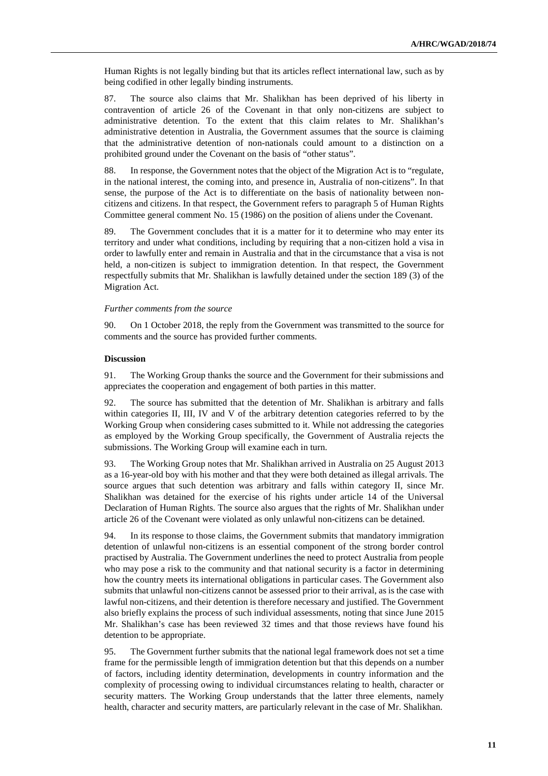Human Rights is not legally binding but that its articles reflect international law, such as by being codified in other legally binding instruments.

87. The source also claims that Mr. Shalikhan has been deprived of his liberty in contravention of article 26 of the Covenant in that only non-citizens are subject to administrative detention. To the extent that this claim relates to Mr. Shalikhan's administrative detention in Australia, the Government assumes that the source is claiming that the administrative detention of non-nationals could amount to a distinction on a prohibited ground under the Covenant on the basis of "other status".

88. In response, the Government notes that the object of the Migration Act is to "regulate, in the national interest, the coming into, and presence in, Australia of non-citizens". In that sense, the purpose of the Act is to differentiate on the basis of nationality between noncitizens and citizens. In that respect, the Government refers to paragraph 5 of Human Rights Committee general comment No. 15 (1986) on the position of aliens under the Covenant.

89. The Government concludes that it is a matter for it to determine who may enter its territory and under what conditions, including by requiring that a non-citizen hold a visa in order to lawfully enter and remain in Australia and that in the circumstance that a visa is not held, a non-citizen is subject to immigration detention. In that respect, the Government respectfully submits that Mr. Shalikhan is lawfully detained under the section 189 (3) of the Migration Act.

# *Further comments from the source*

90. On 1 October 2018, the reply from the Government was transmitted to the source for comments and the source has provided further comments.

#### **Discussion**

91. The Working Group thanks the source and the Government for their submissions and appreciates the cooperation and engagement of both parties in this matter.

92. The source has submitted that the detention of Mr. Shalikhan is arbitrary and falls within categories II, III, IV and V of the arbitrary detention categories referred to by the Working Group when considering cases submitted to it. While not addressing the categories as employed by the Working Group specifically, the Government of Australia rejects the submissions. The Working Group will examine each in turn.

93. The Working Group notes that Mr. Shalikhan arrived in Australia on 25 August 2013 as a 16-year-old boy with his mother and that they were both detained as illegal arrivals. The source argues that such detention was arbitrary and falls within category II, since Mr. Shalikhan was detained for the exercise of his rights under article 14 of the Universal Declaration of Human Rights. The source also argues that the rights of Mr. Shalikhan under article 26 of the Covenant were violated as only unlawful non-citizens can be detained.

94. In its response to those claims, the Government submits that mandatory immigration detention of unlawful non-citizens is an essential component of the strong border control practised by Australia. The Government underlines the need to protect Australia from people who may pose a risk to the community and that national security is a factor in determining how the country meets its international obligations in particular cases. The Government also submits that unlawful non-citizens cannot be assessed prior to their arrival, as is the case with lawful non-citizens, and their detention is therefore necessary and justified. The Government also briefly explains the process of such individual assessments, noting that since June 2015 Mr. Shalikhan's case has been reviewed 32 times and that those reviews have found his detention to be appropriate.

95. The Government further submits that the national legal framework does not set a time frame for the permissible length of immigration detention but that this depends on a number of factors, including identity determination, developments in country information and the complexity of processing owing to individual circumstances relating to health, character or security matters. The Working Group understands that the latter three elements, namely health, character and security matters, are particularly relevant in the case of Mr. Shalikhan.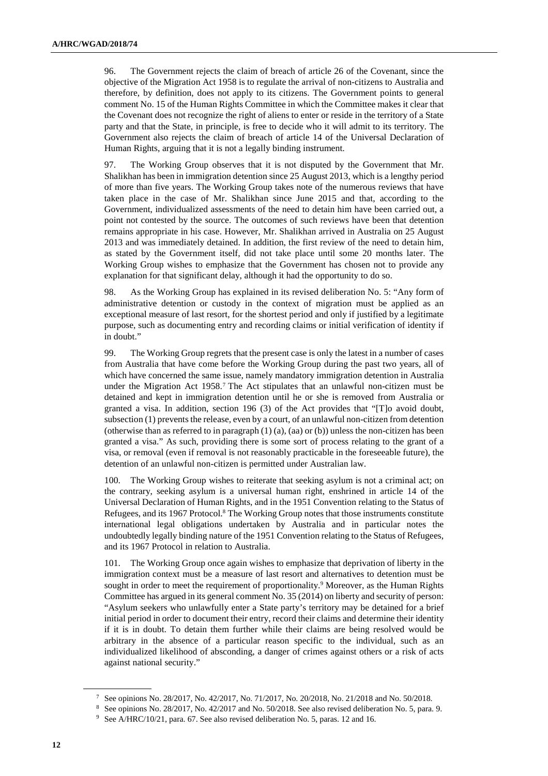96. The Government rejects the claim of breach of article 26 of the Covenant, since the objective of the Migration Act 1958 is to regulate the arrival of non-citizens to Australia and therefore, by definition, does not apply to its citizens. The Government points to general comment No. 15 of the Human Rights Committee in which the Committee makes it clear that the Covenant does not recognize the right of aliens to enter or reside in the territory of a State party and that the State, in principle, is free to decide who it will admit to its territory. The Government also rejects the claim of breach of article 14 of the Universal Declaration of Human Rights, arguing that it is not a legally binding instrument.

97. The Working Group observes that it is not disputed by the Government that Mr. Shalikhan has been in immigration detention since 25 August 2013, which is a lengthy period of more than five years. The Working Group takes note of the numerous reviews that have taken place in the case of Mr. Shalikhan since June 2015 and that, according to the Government, individualized assessments of the need to detain him have been carried out, a point not contested by the source. The outcomes of such reviews have been that detention remains appropriate in his case. However, Mr. Shalikhan arrived in Australia on 25 August 2013 and was immediately detained. In addition, the first review of the need to detain him, as stated by the Government itself, did not take place until some 20 months later. The Working Group wishes to emphasize that the Government has chosen not to provide any explanation for that significant delay, although it had the opportunity to do so.

98. As the Working Group has explained in its revised deliberation No. 5: "Any form of administrative detention or custody in the context of migration must be applied as an exceptional measure of last resort, for the shortest period and only if justified by a legitimate purpose, such as documenting entry and recording claims or initial verification of identity if in doubt."

99. The Working Group regrets that the present case is only the latest in a number of cases from Australia that have come before the Working Group during the past two years, all of which have concerned the same issue, namely mandatory immigration detention in Australia under the Migration Act 1958.<sup>7</sup> The Act stipulates that an unlawful non-citizen must be detained and kept in immigration detention until he or she is removed from Australia or granted a visa. In addition, section 196 (3) of the Act provides that "[T]o avoid doubt, subsection (1) prevents the release, even by a court, of an unlawful non-citizen from detention (otherwise than as referred to in paragraph  $(1)$   $(a)$ ,  $(aa)$  or  $(b)$ ) unless the non-citizen has been granted a visa." As such, providing there is some sort of process relating to the grant of a visa, or removal (even if removal is not reasonably practicable in the foreseeable future), the detention of an unlawful non-citizen is permitted under Australian law.

100. The Working Group wishes to reiterate that seeking asylum is not a criminal act; on the contrary, seeking asylum is a universal human right, enshrined in article 14 of the Universal Declaration of Human Rights, and in the 1951 Convention relating to the Status of Refugees, and its 1967 Protocol.<sup>8</sup> The Working Group notes that those instruments constitute international legal obligations undertaken by Australia and in particular notes the undoubtedly legally binding nature of the 1951 Convention relating to the Status of Refugees, and its 1967 Protocol in relation to Australia.

101. The Working Group once again wishes to emphasize that deprivation of liberty in the immigration context must be a measure of last resort and alternatives to detention must be sought in order to meet the requirement of proportionality.<sup>9</sup> Moreover, as the Human Rights Committee has argued in its general comment No. 35 (2014) on liberty and security of person: "Asylum seekers who unlawfully enter a State party's territory may be detained for a brief initial period in order to document their entry, record their claims and determine their identity if it is in doubt. To detain them further while their claims are being resolved would be arbitrary in the absence of a particular reason specific to the individual, such as an individualized likelihood of absconding, a danger of crimes against others or a risk of acts against national security."

<sup>7</sup> See opinions No. 28/2017, No. 42/2017, No. 71/2017, No. 20/2018, No. 21/2018 and No. 50/2018.

<sup>8</sup> See opinions No. 28/2017, No. 42/2017 and No. 50/2018. See also revised deliberation No. 5, para. 9.

<sup>&</sup>lt;sup>9</sup> See A/HRC/10/21, para. 67. See also revised deliberation No. 5, paras. 12 and 16.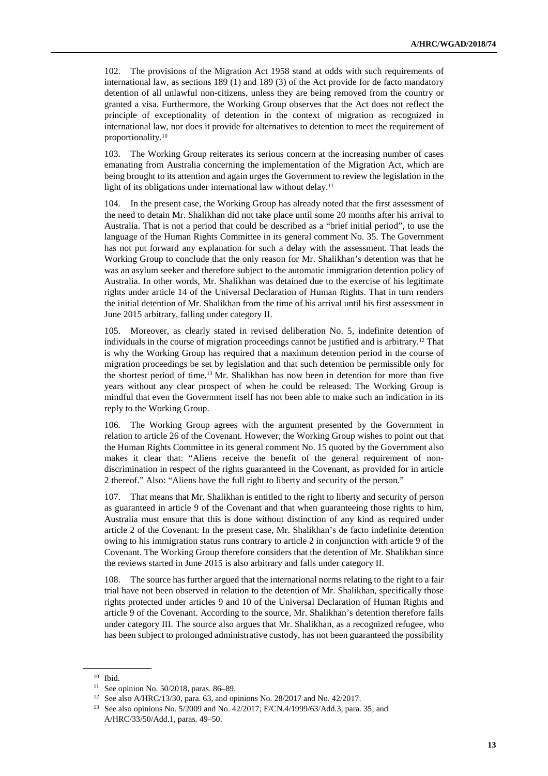102. The provisions of the Migration Act 1958 stand at odds with such requirements of international law, as sections 189 (1) and 189 (3) of the Act provide for de facto mandatory detention of all unlawful non-citizens, unless they are being removed from the country or granted a visa. Furthermore, the Working Group observes that the Act does not reflect the principle of exceptionality of detention in the context of migration as recognized in international law, nor does it provide for alternatives to detention to meet the requirement of proportionality.<sup>10</sup>

103. The Working Group reiterates its serious concern at the increasing number of cases emanating from Australia concerning the implementation of the Migration Act, which are being brought to its attention and again urges the Government to review the legislation in the light of its obligations under international law without delay.<sup>11</sup>

104. In the present case, the Working Group has already noted that the first assessment of the need to detain Mr. Shalikhan did not take place until some 20 months after his arrival to Australia. That is not a period that could be described as a "brief initial period", to use the language of the Human Rights Committee in its general comment No. 35. The Government has not put forward any explanation for such a delay with the assessment. That leads the Working Group to conclude that the only reason for Mr. Shalikhan's detention was that he was an asylum seeker and therefore subject to the automatic immigration detention policy of Australia. In other words, Mr. Shalikhan was detained due to the exercise of his legitimate rights under article 14 of the Universal Declaration of Human Rights. That in turn renders the initial detention of Mr. Shalikhan from the time of his arrival until his first assessment in June 2015 arbitrary, falling under category II.

105. Moreover, as clearly stated in revised deliberation No. 5, indefinite detention of individuals in the course of migration proceedings cannot be justified and is arbitrary.12 That is why the Working Group has required that a maximum detention period in the course of migration proceedings be set by legislation and that such detention be permissible only for the shortest period of time.13 Mr. Shalikhan has now been in detention for more than five years without any clear prospect of when he could be released. The Working Group is mindful that even the Government itself has not been able to make such an indication in its reply to the Working Group.

106. The Working Group agrees with the argument presented by the Government in relation to article 26 of the Covenant. However, the Working Group wishes to point out that the Human Rights Committee in its general comment No. 15 quoted by the Government also makes it clear that: "Aliens receive the benefit of the general requirement of nondiscrimination in respect of the rights guaranteed in the Covenant, as provided for in article 2 thereof." Also: "Aliens have the full right to liberty and security of the person."

107. That means that Mr. Shalikhan is entitled to the right to liberty and security of person as guaranteed in article 9 of the Covenant and that when guaranteeing those rights to him, Australia must ensure that this is done without distinction of any kind as required under article 2 of the Covenant. In the present case, Mr. Shalikhan's de facto indefinite detention owing to his immigration status runs contrary to article 2 in conjunction with article 9 of the Covenant. The Working Group therefore considers that the detention of Mr. Shalikhan since the reviews started in June 2015 is also arbitrary and falls under category II.

108. The source has further argued that the international norms relating to the right to a fair trial have not been observed in relation to the detention of Mr. Shalikhan, specifically those rights protected under articles 9 and 10 of the Universal Declaration of Human Rights and article 9 of the Covenant. According to the source, Mr. Shalikhan's detention therefore falls under category III. The source also argues that Mr. Shalikhan, as a recognized refugee, who has been subject to prolonged administrative custody, has not been guaranteed the possibility

<sup>10</sup> Ibid.

<sup>11</sup> See opinion No. 50/2018, paras. 86–89.

<sup>12</sup> See also A/HRC/13/30, para. 63, and opinions No. 28/2017 and No. 42/2017.

<sup>13</sup> See also opinions No. 5/2009 and No. 42/2017; E/CN.4/1999/63/Add.3, para. 35; and A/HRC/33/50/Add.1, paras. 49–50.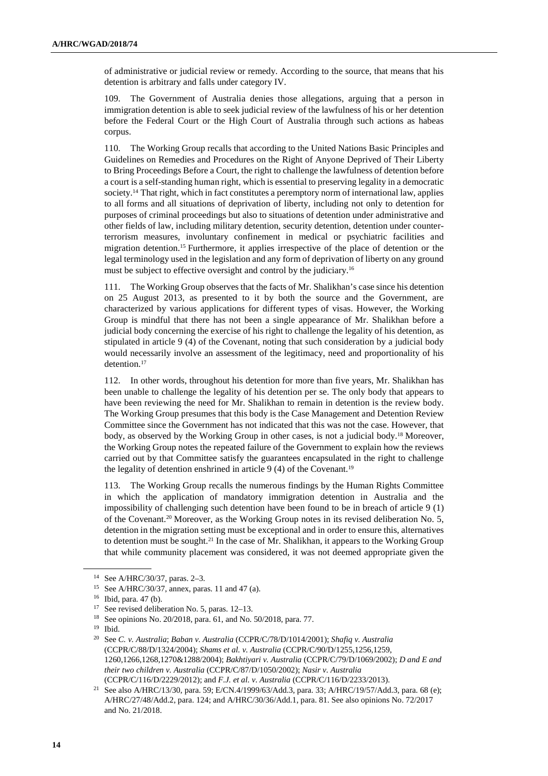of administrative or judicial review or remedy. According to the source, that means that his detention is arbitrary and falls under category IV.

109. The Government of Australia denies those allegations, arguing that a person in immigration detention is able to seek judicial review of the lawfulness of his or her detention before the Federal Court or the High Court of Australia through such actions as habeas corpus.

110. The Working Group recalls that according to the United Nations Basic Principles and Guidelines on Remedies and Procedures on the Right of Anyone Deprived of Their Liberty to Bring Proceedings Before a Court, the right to challenge the lawfulness of detention before a court is a self-standing human right, which is essential to preserving legality in a democratic society.<sup>14</sup> That right, which in fact constitutes a peremptory norm of international law, applies to all forms and all situations of deprivation of liberty, including not only to detention for purposes of criminal proceedings but also to situations of detention under administrative and other fields of law, including military detention, security detention, detention under counterterrorism measures, involuntary confinement in medical or psychiatric facilities and migration detention.15 Furthermore, it applies irrespective of the place of detention or the legal terminology used in the legislation and any form of deprivation of liberty on any ground must be subject to effective oversight and control by the judiciary.<sup>16</sup>

111. The Working Group observes that the facts of Mr. Shalikhan's case since his detention on 25 August 2013, as presented to it by both the source and the Government, are characterized by various applications for different types of visas. However, the Working Group is mindful that there has not been a single appearance of Mr. Shalikhan before a judicial body concerning the exercise of his right to challenge the legality of his detention, as stipulated in article 9 (4) of the Covenant, noting that such consideration by a judicial body would necessarily involve an assessment of the legitimacy, need and proportionality of his detention.<sup>17</sup>

112. In other words, throughout his detention for more than five years, Mr. Shalikhan has been unable to challenge the legality of his detention per se. The only body that appears to have been reviewing the need for Mr. Shalikhan to remain in detention is the review body. The Working Group presumes that this body is the Case Management and Detention Review Committee since the Government has not indicated that this was not the case. However, that body, as observed by the Working Group in other cases, is not a judicial body.18 Moreover, the Working Group notes the repeated failure of the Government to explain how the reviews carried out by that Committee satisfy the guarantees encapsulated in the right to challenge the legality of detention enshrined in article  $9(4)$  of the Covenant.<sup>19</sup>

113. The Working Group recalls the numerous findings by the Human Rights Committee in which the application of mandatory immigration detention in Australia and the impossibility of challenging such detention have been found to be in breach of article 9 (1) of the Covenant.20 Moreover, as the Working Group notes in its revised deliberation No. 5, detention in the migration setting must be exceptional and in order to ensure this, alternatives to detention must be sought.21 In the case of Mr. Shalikhan, it appears to the Working Group that while community placement was considered, it was not deemed appropriate given the

<sup>14</sup> See A/HRC/30/37, paras. 2–3.

<sup>15</sup> See A/HRC/30/37, annex, paras. 11 and 47 (a).

<sup>16</sup> Ibid, para. 47 (b).

<sup>17</sup> See revised deliberation No. 5, paras. 12–13.

<sup>18</sup> See opinions No. 20/2018, para. 61, and No. 50/2018, para. 77.

<sup>19</sup> Ibid.

<sup>20</sup> See *C. v. Australia*; *Baban v. Australia* (CCPR/C/78/D/1014/2001); *Shafiq v. Australia*  (CCPR/C/88/D/1324/2004); *Shams et al. v. Australia* (CCPR/C/90/D/1255,1256,1259, 1260,1266,1268,1270&1288/2004); *Bakhtiyari v. Australia* (CCPR/C/79/D/1069/2002); *D and E and their two children v. Australia* (CCPR/C/87/D/1050/2002); *Nasir v. Australia*  (CCPR/C/116/D/2229/2012); and *F.J. et al. v. Australia* (CCPR/C/116/D/2233/2013).

<sup>21</sup> See also A/HRC/13/30, para. 59; E/CN.4/1999/63/Add.3, para. 33; A/HRC/19/57/Add.3, para. 68 (e); A/HRC/27/48/Add.2, para. 124; and A/HRC/30/36/Add.1, para. 81. See also opinions No. 72/2017 and No. 21/2018.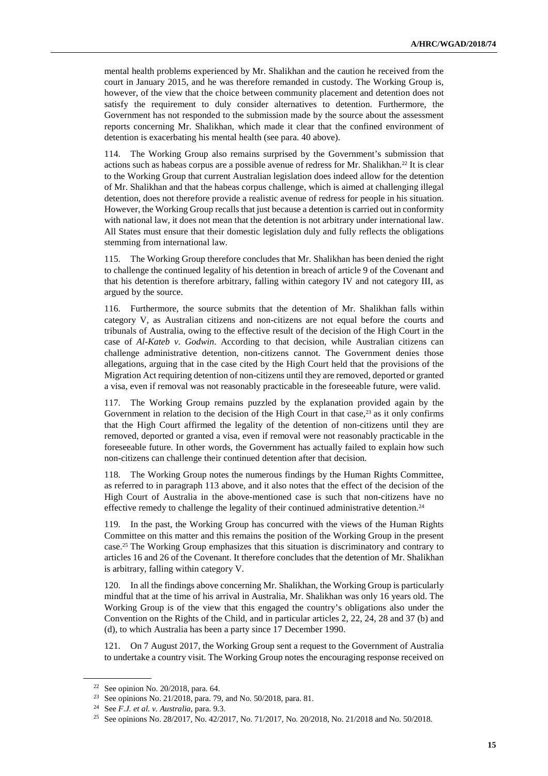mental health problems experienced by Mr. Shalikhan and the caution he received from the court in January 2015, and he was therefore remanded in custody. The Working Group is, however, of the view that the choice between community placement and detention does not satisfy the requirement to duly consider alternatives to detention. Furthermore, the Government has not responded to the submission made by the source about the assessment reports concerning Mr. Shalikhan, which made it clear that the confined environment of detention is exacerbating his mental health (see para. 40 above).

114. The Working Group also remains surprised by the Government's submission that actions such as habeas corpus are a possible avenue of redress for Mr. Shalikhan.<sup>22</sup> It is clear to the Working Group that current Australian legislation does indeed allow for the detention of Mr. Shalikhan and that the habeas corpus challenge, which is aimed at challenging illegal detention, does not therefore provide a realistic avenue of redress for people in his situation. However, the Working Group recalls that just because a detention is carried out in conformity with national law, it does not mean that the detention is not arbitrary under international law. All States must ensure that their domestic legislation duly and fully reflects the obligations stemming from international law.

115. The Working Group therefore concludes that Mr. Shalikhan has been denied the right to challenge the continued legality of his detention in breach of article 9 of the Covenant and that his detention is therefore arbitrary, falling within category IV and not category III, as argued by the source.

116. Furthermore, the source submits that the detention of Mr. Shalikhan falls within category V, as Australian citizens and non-citizens are not equal before the courts and tribunals of Australia, owing to the effective result of the decision of the High Court in the case of *Al-Kateb v. Godwin*. According to that decision, while Australian citizens can challenge administrative detention, non-citizens cannot. The Government denies those allegations, arguing that in the case cited by the High Court held that the provisions of the Migration Act requiring detention of non-citizens until they are removed, deported or granted a visa, even if removal was not reasonably practicable in the foreseeable future, were valid.

117. The Working Group remains puzzled by the explanation provided again by the Government in relation to the decision of the High Court in that case, $^{23}$  as it only confirms that the High Court affirmed the legality of the detention of non-citizens until they are removed, deported or granted a visa, even if removal were not reasonably practicable in the foreseeable future. In other words, the Government has actually failed to explain how such non-citizens can challenge their continued detention after that decision.

118. The Working Group notes the numerous findings by the Human Rights Committee, as referred to in paragraph 113 above, and it also notes that the effect of the decision of the High Court of Australia in the above-mentioned case is such that non-citizens have no effective remedy to challenge the legality of their continued administrative detention.<sup>24</sup>

119. In the past, the Working Group has concurred with the views of the Human Rights Committee on this matter and this remains the position of the Working Group in the present case.25 The Working Group emphasizes that this situation is discriminatory and contrary to articles 16 and 26 of the Covenant. It therefore concludes that the detention of Mr. Shalikhan is arbitrary, falling within category V.

120. In all the findings above concerning Mr. Shalikhan, the Working Group is particularly mindful that at the time of his arrival in Australia, Mr. Shalikhan was only 16 years old. The Working Group is of the view that this engaged the country's obligations also under the Convention on the Rights of the Child, and in particular articles 2, 22, 24, 28 and 37 (b) and (d), to which Australia has been a party since 17 December 1990.

121. On 7 August 2017, the Working Group sent a request to the Government of Australia to undertake a country visit. The Working Group notes the encouraging response received on

<sup>&</sup>lt;sup>22</sup> See opinion No. 20/2018, para. 64.

<sup>23</sup> See opinions No. 21/2018, para. 79, and No. 50/2018, para. 81.

<sup>24</sup> See *F.J. et al. v. Australia*, para. 9.3.

<sup>&</sup>lt;sup>25</sup> See opinions No. 28/2017, No. 42/2017, No. 71/2017, No. 20/2018, No. 21/2018 and No. 50/2018.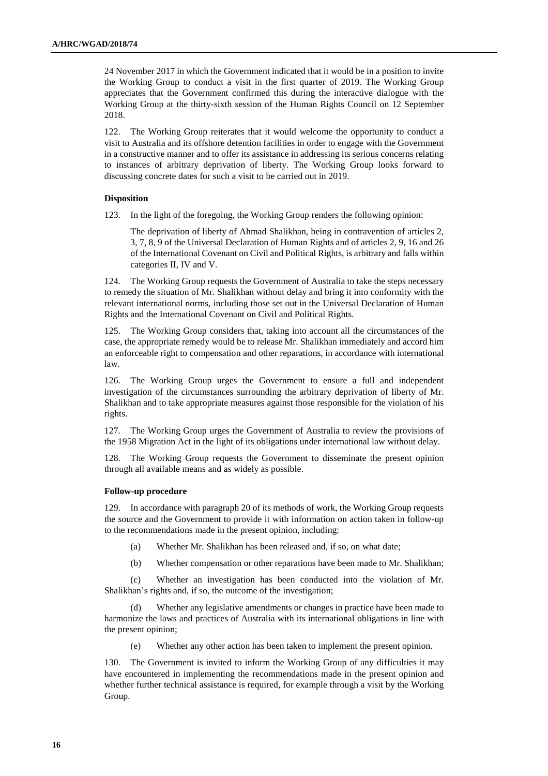24 November 2017 in which the Government indicated that it would be in a position to invite the Working Group to conduct a visit in the first quarter of 2019. The Working Group appreciates that the Government confirmed this during the interactive dialogue with the Working Group at the thirty-sixth session of the Human Rights Council on 12 September 2018.

122. The Working Group reiterates that it would welcome the opportunity to conduct a visit to Australia and its offshore detention facilities in order to engage with the Government in a constructive manner and to offer its assistance in addressing its serious concerns relating to instances of arbitrary deprivation of liberty. The Working Group looks forward to discussing concrete dates for such a visit to be carried out in 2019.

# **Disposition**

123. In the light of the foregoing, the Working Group renders the following opinion:

The deprivation of liberty of Ahmad Shalikhan, being in contravention of articles 2, 3, 7, 8, 9 of the Universal Declaration of Human Rights and of articles 2, 9, 16 and 26 of the International Covenant on Civil and Political Rights, is arbitrary and falls within categories II, IV and V.

124. The Working Group requests the Government of Australia to take the steps necessary to remedy the situation of Mr. Shalikhan without delay and bring it into conformity with the relevant international norms, including those set out in the Universal Declaration of Human Rights and the International Covenant on Civil and Political Rights.

125. The Working Group considers that, taking into account all the circumstances of the case, the appropriate remedy would be to release Mr. Shalikhan immediately and accord him an enforceable right to compensation and other reparations, in accordance with international law.

126. The Working Group urges the Government to ensure a full and independent investigation of the circumstances surrounding the arbitrary deprivation of liberty of Mr. Shalikhan and to take appropriate measures against those responsible for the violation of his rights.

127. The Working Group urges the Government of Australia to review the provisions of the 1958 Migration Act in the light of its obligations under international law without delay.

128. The Working Group requests the Government to disseminate the present opinion through all available means and as widely as possible.

# **Follow-up procedure**

129. In accordance with paragraph 20 of its methods of work, the Working Group requests the source and the Government to provide it with information on action taken in follow-up to the recommendations made in the present opinion, including:

- (a) Whether Mr. Shalikhan has been released and, if so, on what date;
- (b) Whether compensation or other reparations have been made to Mr. Shalikhan;

(c) Whether an investigation has been conducted into the violation of Mr. Shalikhan's rights and, if so, the outcome of the investigation;

(d) Whether any legislative amendments or changes in practice have been made to harmonize the laws and practices of Australia with its international obligations in line with the present opinion;

(e) Whether any other action has been taken to implement the present opinion.

130. The Government is invited to inform the Working Group of any difficulties it may have encountered in implementing the recommendations made in the present opinion and whether further technical assistance is required, for example through a visit by the Working Group.